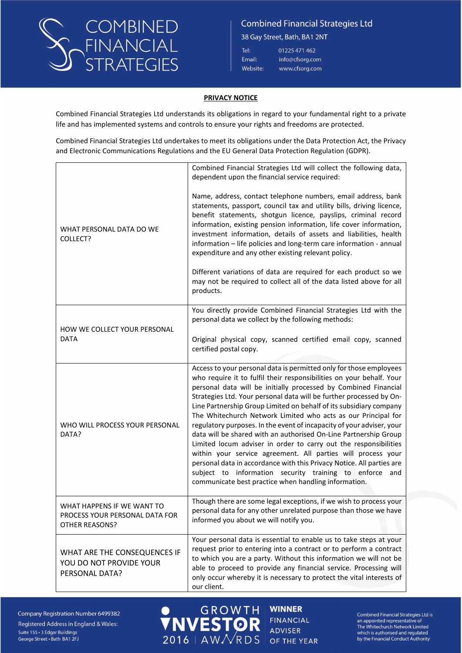

38 Gay Street, Bath, BA1 2NT

| Tel:            | 01225 471 462   |
|-----------------|-----------------|
| :mail:          | info@cfsorg.com |
| <b>Nebsite:</b> | www.cfsorg.com  |

#### **PRIVACY NOTICE**

Combined Financial Strategies Ltd understands its obligations in regard to your fundamental right to a private life and has implemented systems and controls to ensure your rights and freedoms are protected.

Combined Financial Strategies Ltd undertakes to meet its obligations under the Data Protection Act, the Privacy and Electronic Communications Regulations and the EU General Data Protection Regulation (GDPR).

|                                                                                | Combined Financial Strategies Ltd will collect the following data,<br>dependent upon the financial service required:                                                                                                                                                                                                                                                                                                                                                                                                                                                                                                                                                                                                                                                                                                                                                                                     |
|--------------------------------------------------------------------------------|----------------------------------------------------------------------------------------------------------------------------------------------------------------------------------------------------------------------------------------------------------------------------------------------------------------------------------------------------------------------------------------------------------------------------------------------------------------------------------------------------------------------------------------------------------------------------------------------------------------------------------------------------------------------------------------------------------------------------------------------------------------------------------------------------------------------------------------------------------------------------------------------------------|
| WHAT PERSONAL DATA DO WE<br>COLLECT?                                           | Name, address, contact telephone numbers, email address, bank<br>statements, passport, council tax and utility bills, driving licence,<br>benefit statements, shotgun licence, payslips, criminal record<br>information, existing pension information, life cover information,<br>investment information, details of assets and liabilities, health<br>information - life policies and long-term care information - annual<br>expenditure and any other existing relevant policy.<br>Different variations of data are required for each product so we<br>may not be required to collect all of the data listed above for all<br>products.                                                                                                                                                                                                                                                                |
|                                                                                | You directly provide Combined Financial Strategies Ltd with the                                                                                                                                                                                                                                                                                                                                                                                                                                                                                                                                                                                                                                                                                                                                                                                                                                          |
| HOW WE COLLECT YOUR PERSONAL                                                   | personal data we collect by the following methods:                                                                                                                                                                                                                                                                                                                                                                                                                                                                                                                                                                                                                                                                                                                                                                                                                                                       |
| <b>DATA</b>                                                                    | Original physical copy, scanned certified email copy, scanned<br>certified postal copy.                                                                                                                                                                                                                                                                                                                                                                                                                                                                                                                                                                                                                                                                                                                                                                                                                  |
| WHO WILL PROCESS YOUR PERSONAL<br>DATA?                                        | Access to your personal data is permitted only for those employees<br>who require it to fulfil their responsibilities on your behalf. Your<br>personal data will be initially processed by Combined Financial<br>Strategies Ltd. Your personal data will be further processed by On-<br>Line Partnership Group Limited on behalf of its subsidiary company<br>The Whitechurch Network Limited who acts as our Principal for<br>regulatory purposes. In the event of incapacity of your adviser, your<br>data will be shared with an authorised On-Line Partnership Group<br>Limited locum adviser in order to carry out the responsibilities<br>within your service agreement. All parties will process your<br>personal data in accordance with this Privacy Notice. All parties are<br>subject to information security training to enforce and<br>communicate best practice when handling information. |
| WHAT HAPPENS IF WE WANT TO<br>PROCESS YOUR PERSONAL DATA FOR<br>OTHER REASONS? | Though there are some legal exceptions, if we wish to process your<br>personal data for any other unrelated purpose than those we have<br>informed you about we will notify you.                                                                                                                                                                                                                                                                                                                                                                                                                                                                                                                                                                                                                                                                                                                         |
| WHAT ARE THE CONSEQUENCES IF<br>YOU DO NOT PROVIDE YOUR<br>PERSONAL DATA?      | Your personal data is essential to enable us to take steps at your<br>request prior to entering into a contract or to perform a contract<br>to which you are a party. Without this information we will not be<br>able to proceed to provide any financial service. Processing will<br>only occur whereby it is necessary to protect the vital interests of<br>our client.                                                                                                                                                                                                                                                                                                                                                                                                                                                                                                                                |

**GROWTH** 

**NVESTO** 

 $2016$  | AW $\mathcal{N}$ RDS

Company Registration Number 6499382 Registered Address in England & Wales: Suite 155 · 3 Edgar Buildings George Street · Bath BA1 2FJ

**WINNER FINANCIAL ADVISER** OF THE YEAR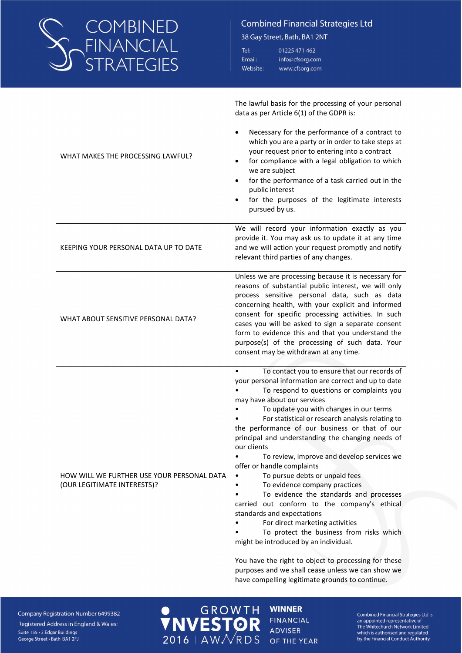

38 Gay Street, Bath, BA1 2NT

| Tel:     | 01225 471 462   |
|----------|-----------------|
| Email:   | info@cfsorg.com |
| Website: | www.cfsorg.com  |

| WHAT MAKES THE PROCESSING LAWFUL?                                         | The lawful basis for the processing of your personal<br>data as per Article 6(1) of the GDPR is:<br>Necessary for the performance of a contract to<br>which you are a party or in order to take steps at<br>your request prior to entering into a contract<br>for compliance with a legal obligation to which<br>we are subject<br>for the performance of a task carried out in the<br>public interest<br>for the purposes of the legitimate interests<br>pursued by us.                                                                                                                                                                                                                                                                                                                                                                                                                                                                                                           |
|---------------------------------------------------------------------------|------------------------------------------------------------------------------------------------------------------------------------------------------------------------------------------------------------------------------------------------------------------------------------------------------------------------------------------------------------------------------------------------------------------------------------------------------------------------------------------------------------------------------------------------------------------------------------------------------------------------------------------------------------------------------------------------------------------------------------------------------------------------------------------------------------------------------------------------------------------------------------------------------------------------------------------------------------------------------------|
| KEEPING YOUR PERSONAL DATA UP TO DATE                                     | We will record your information exactly as you<br>provide it. You may ask us to update it at any time<br>and we will action your request promptly and notify<br>relevant third parties of any changes.                                                                                                                                                                                                                                                                                                                                                                                                                                                                                                                                                                                                                                                                                                                                                                             |
| WHAT ABOUT SENSITIVE PERSONAL DATA?                                       | Unless we are processing because it is necessary for<br>reasons of substantial public interest, we will only<br>process sensitive personal data, such as data<br>concerning health, with your explicit and informed<br>consent for specific processing activities. In such<br>cases you will be asked to sign a separate consent<br>form to evidence this and that you understand the<br>purpose(s) of the processing of such data. Your<br>consent may be withdrawn at any time.                                                                                                                                                                                                                                                                                                                                                                                                                                                                                                  |
| HOW WILL WE FURTHER USE YOUR PERSONAL DATA<br>(OUR LEGITIMATE INTERESTS)? | $\bullet$<br>To contact you to ensure that our records of<br>your personal information are correct and up to date<br>To respond to questions or complaints you<br>may have about our services<br>To update you with changes in our terms<br>For statistical or research analysis relating to<br>the performance of our business or that of our<br>principal and understanding the changing needs of<br>our clients<br>To review, improve and develop services we<br>offer or handle complaints<br>To pursue debts or unpaid fees<br>To evidence company practices<br>To evidence the standards and processes<br>carried out conform to the company's ethical<br>standards and expectations<br>For direct marketing activities<br>To protect the business from risks which<br>might be introduced by an individual.<br>You have the right to object to processing for these<br>purposes and we shall cease unless we can show we<br>have compelling legitimate grounds to continue. |

 $\bullet$ 

**GROWTH WINNER NVESTO FINANCIAL** R **ADVISER** 2016 | AW NRDS OF THE YEAR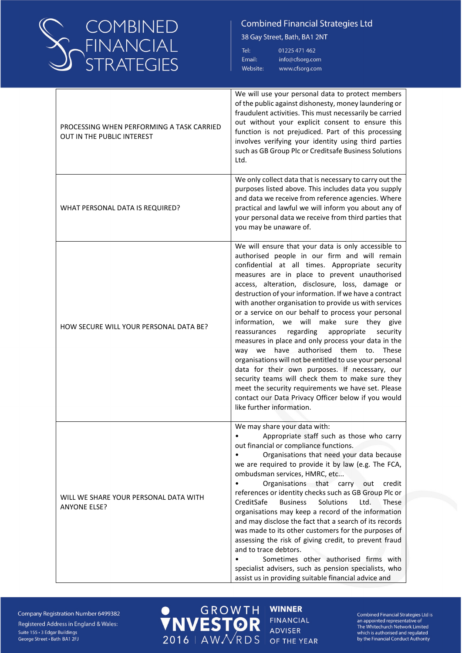

38 Gay Street, Bath, BA1 2NT

| Tel:     | 01225 471 462   |
|----------|-----------------|
| Email:   | info@cfsorg.com |
| Nebsite: | www.cfsorg.com  |

| PROCESSING WHEN PERFORMING A TASK CARRIED<br><b>OUT IN THE PUBLIC INTEREST</b> | We will use your personal data to protect members<br>of the public against dishonesty, money laundering or<br>fraudulent activities. This must necessarily be carried<br>out without your explicit consent to ensure this<br>function is not prejudiced. Part of this processing<br>involves verifying your identity using third parties<br>such as GB Group Plc or Creditsafe Business Solutions<br>Ltd.                                                                                                                                                                                                                                                                                                                                                                                                                                                                                                                                            |
|--------------------------------------------------------------------------------|------------------------------------------------------------------------------------------------------------------------------------------------------------------------------------------------------------------------------------------------------------------------------------------------------------------------------------------------------------------------------------------------------------------------------------------------------------------------------------------------------------------------------------------------------------------------------------------------------------------------------------------------------------------------------------------------------------------------------------------------------------------------------------------------------------------------------------------------------------------------------------------------------------------------------------------------------|
| WHAT PERSONAL DATA IS REQUIRED?                                                | We only collect data that is necessary to carry out the<br>purposes listed above. This includes data you supply<br>and data we receive from reference agencies. Where<br>practical and lawful we will inform you about any of<br>your personal data we receive from third parties that<br>you may be unaware of.                                                                                                                                                                                                                                                                                                                                                                                                                                                                                                                                                                                                                                     |
| HOW SECURE WILL YOUR PERSONAL DATA BE?                                         | We will ensure that your data is only accessible to<br>authorised people in our firm and will remain<br>confidential at all times. Appropriate security<br>measures are in place to prevent unauthorised<br>access, alteration, disclosure, loss, damage or<br>destruction of your information. If we have a contract<br>with another organisation to provide us with services<br>or a service on our behalf to process your personal<br>information, we will make sure they give<br>regarding<br>appropriate<br>security<br>reassurances<br>measures in place and only process your data in the<br>way we have authorised them to. These<br>organisations will not be entitled to use your personal<br>data for their own purposes. If necessary, our<br>security teams will check them to make sure they<br>meet the security requirements we have set. Please<br>contact our Data Privacy Officer below if you would<br>like further information. |
| WILL WE SHARE YOUR PERSONAL DATA WITH<br><b>ANYONE ELSE?</b>                   | We may share your data with:<br>Appropriate staff such as those who carry<br>out financial or compliance functions.<br>Organisations that need your data because<br>we are required to provide it by law (e.g. The FCA,<br>ombudsman services, HMRC, etc<br>Organisations that carry<br>out<br>credit<br>references or identity checks such as GB Group Plc or<br>CreditSafe<br><b>Business</b><br>Solutions<br>Ltd.<br><b>These</b><br>organisations may keep a record of the information<br>and may disclose the fact that a search of its records<br>was made to its other customers for the purposes of<br>assessing the risk of giving credit, to prevent fraud<br>and to trace debtors.<br>Sometimes other authorised firms with<br>specialist advisers, such as pension specialists, who<br>assist us in providing suitable financial advice and                                                                                              |

Company Registration Number 6499382 Registered Address in England & Wales: Suite 155 · 3 Edgar Buildings George Street · Bath BA1 2FJ

O GROWTH

**WINNER FINANCIAL ADVISER** OF THE YEAR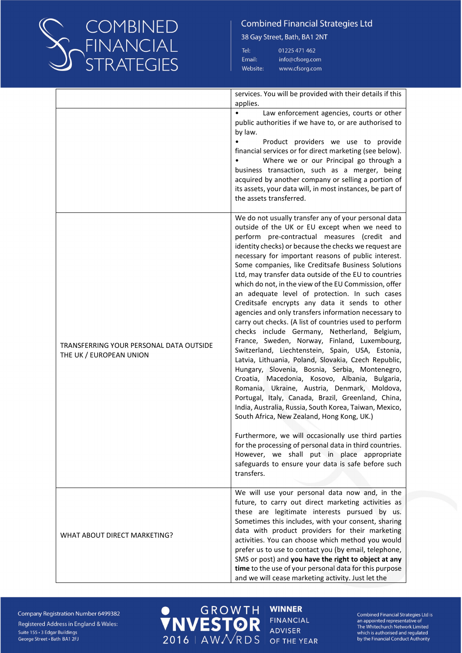

38 Gay Street, Bath, BA1 2NT

| Tel:     | 01225 471 462   |
|----------|-----------------|
| Email:   | info@cfsorg.com |
| Website: | www.cfsorg.com  |

|                                                                    | services. You will be provided with their details if this                                                                                                                                                                                                                                                                                                                                                                                                                                                                                                                                                                                                                                                                                                                                                                                                                                                                                                                                                                                                                                                                                                                                                                                                                                                                                                                                                                              |
|--------------------------------------------------------------------|----------------------------------------------------------------------------------------------------------------------------------------------------------------------------------------------------------------------------------------------------------------------------------------------------------------------------------------------------------------------------------------------------------------------------------------------------------------------------------------------------------------------------------------------------------------------------------------------------------------------------------------------------------------------------------------------------------------------------------------------------------------------------------------------------------------------------------------------------------------------------------------------------------------------------------------------------------------------------------------------------------------------------------------------------------------------------------------------------------------------------------------------------------------------------------------------------------------------------------------------------------------------------------------------------------------------------------------------------------------------------------------------------------------------------------------|
|                                                                    | applies.<br>Law enforcement agencies, courts or other<br>$\bullet$<br>public authorities if we have to, or are authorised to<br>by law.<br>Product providers we use to provide<br>financial services or for direct marketing (see below).<br>Where we or our Principal go through a<br>business transaction, such as a merger, being<br>acquired by another company or selling a portion of<br>its assets, your data will, in most instances, be part of<br>the assets transferred.                                                                                                                                                                                                                                                                                                                                                                                                                                                                                                                                                                                                                                                                                                                                                                                                                                                                                                                                                    |
| TRANSFERRING YOUR PERSONAL DATA OUTSIDE<br>THE UK / EUROPEAN UNION | We do not usually transfer any of your personal data<br>outside of the UK or EU except when we need to<br>perform pre-contractual measures (credit and<br>identity checks) or because the checks we request are<br>necessary for important reasons of public interest.<br>Some companies, like Creditsafe Business Solutions<br>Ltd, may transfer data outside of the EU to countries<br>which do not, in the view of the EU Commission, offer<br>an adequate level of protection. In such cases<br>Creditsafe encrypts any data it sends to other<br>agencies and only transfers information necessary to<br>carry out checks. (A list of countries used to perform<br>checks include Germany, Netherland, Belgium,<br>France, Sweden, Norway, Finland, Luxembourg,<br>Switzerland, Liechtenstein, Spain, USA, Estonia,<br>Latvia, Lithuania, Poland, Slovakia, Czech Republic,<br>Hungary, Slovenia, Bosnia, Serbia, Montenegro,<br>Croatia, Macedonia, Kosovo, Albania, Bulgaria,<br>Romania, Ukraine, Austria, Denmark, Moldova,<br>Portugal, Italy, Canada, Brazil, Greenland, China,<br>India, Australia, Russia, South Korea, Taiwan, Mexico,<br>South Africa, New Zealand, Hong Kong, UK.)<br>Furthermore, we will occasionally use third parties<br>for the processing of personal data in third countries.<br>However, we shall put in place appropriate<br>safeguards to ensure your data is safe before such<br>transfers. |
| WHAT ABOUT DIRECT MARKETING?                                       | We will use your personal data now and, in the<br>future, to carry out direct marketing activities as<br>these are legitimate interests pursued by us.<br>Sometimes this includes, with your consent, sharing<br>data with product providers for their marketing<br>activities. You can choose which method you would<br>prefer us to use to contact you (by email, telephone,<br>SMS or post) and you have the right to object at any<br>time to the use of your personal data for this purpose<br>and we will cease marketing activity. Just let the                                                                                                                                                                                                                                                                                                                                                                                                                                                                                                                                                                                                                                                                                                                                                                                                                                                                                 |

O GROWTH

Company Registration Number 6499382 Registered Address in England & Wales: Suite 155 · 3 Edgar Buildings George Street · Bath BA1 2FJ

**WINNER FINANCIAL ADVISER** OF THE YEAR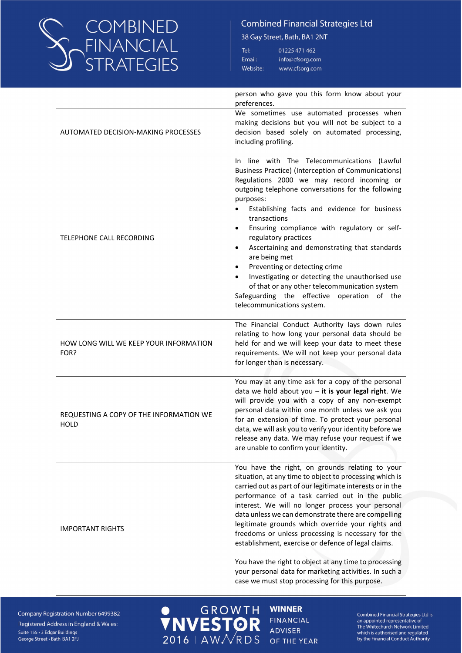

38 Gay Street, Bath, BA1 2NT

| Tel:                        | 01225 471 462   |
|-----------------------------|-----------------|
| $\mathop{\mathsf{small}}$ : | info@cfsorg.com |
| <b>Nebsite:</b>             | www.cfsorg.com  |

|                                                        | person who gave you this form know about your<br>preferences.                                                                                                                                                                                                                                                                                                                                                                                                                                                                                                                                                                                                                                           |
|--------------------------------------------------------|---------------------------------------------------------------------------------------------------------------------------------------------------------------------------------------------------------------------------------------------------------------------------------------------------------------------------------------------------------------------------------------------------------------------------------------------------------------------------------------------------------------------------------------------------------------------------------------------------------------------------------------------------------------------------------------------------------|
| <b>AUTOMATED DECISION-MAKING PROCESSES</b>             | We sometimes use automated processes when<br>making decisions but you will not be subject to a<br>decision based solely on automated processing,<br>including profiling.                                                                                                                                                                                                                                                                                                                                                                                                                                                                                                                                |
| TELEPHONE CALL RECORDING                               | line with The Telecommunications (Lawful<br>In.<br>Business Practice) (Interception of Communications)<br>Regulations 2000 we may record incoming or<br>outgoing telephone conversations for the following<br>purposes:<br>Establishing facts and evidence for business<br>transactions<br>Ensuring compliance with regulatory or self-<br>$\bullet$<br>regulatory practices<br>Ascertaining and demonstrating that standards<br>$\bullet$<br>are being met<br>Preventing or detecting crime<br>$\bullet$<br>Investigating or detecting the unauthorised use<br>$\bullet$<br>of that or any other telecommunication system<br>Safeguarding the effective operation of the<br>telecommunications system. |
| HOW LONG WILL WE KEEP YOUR INFORMATION<br>FOR?         | The Financial Conduct Authority lays down rules<br>relating to how long your personal data should be<br>held for and we will keep your data to meet these<br>requirements. We will not keep your personal data<br>for longer than is necessary.                                                                                                                                                                                                                                                                                                                                                                                                                                                         |
| REQUESTING A COPY OF THE INFORMATION WE<br><b>HOLD</b> | You may at any time ask for a copy of the personal<br>data we hold about you $-$ it is your legal right. We<br>will provide you with a copy of any non-exempt<br>personal data within one month unless we ask you<br>for an extension of time. To protect your personal<br>data, we will ask you to verify your identity before we<br>release any data. We may refuse your request if we<br>are unable to confirm your identity.                                                                                                                                                                                                                                                                        |
| <b>IMPORTANT RIGHTS</b>                                | You have the right, on grounds relating to your<br>situation, at any time to object to processing which is<br>carried out as part of our legitimate interests or in the<br>performance of a task carried out in the public<br>interest. We will no longer process your personal<br>data unless we can demonstrate there are compelling<br>legitimate grounds which override your rights and<br>freedoms or unless processing is necessary for the<br>establishment, exercise or defence of legal claims.<br>You have the right to object at any time to processing<br>your personal data for marketing activities. In such a<br>case we must stop processing for this purpose.                          |

 $2016$  | AW $N$ RDS

**Company Registration Number 6499382** Registered Address in England & Wales: Suite 155 · 3 Edgar Buildings George Street · Bath BA1 2FJ

O GROWTH **WINNER FINANCIAL ADVISER** OF THE YEAR